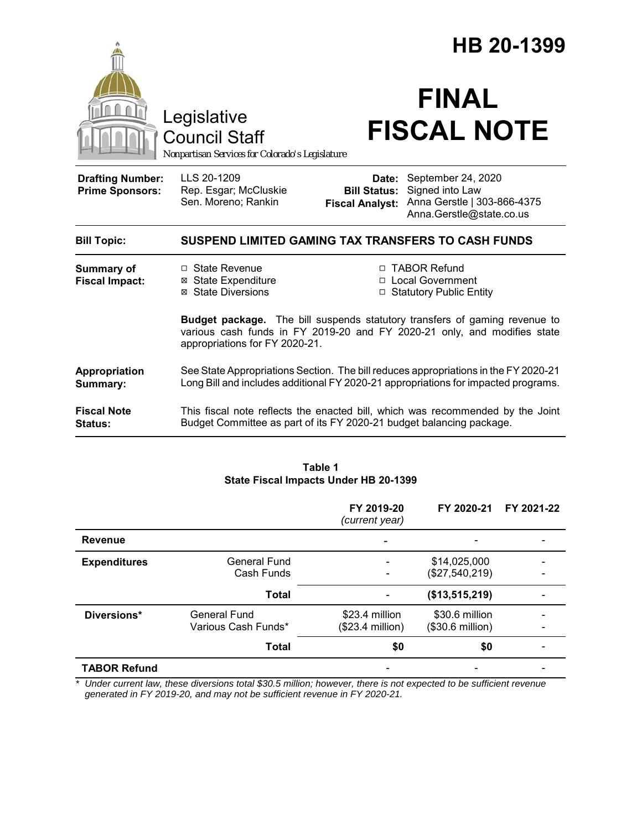|                                                   |                                                                                                                                                                                                 | HB 20-1399                                                        |                                                                                                  |  |
|---------------------------------------------------|-------------------------------------------------------------------------------------------------------------------------------------------------------------------------------------------------|-------------------------------------------------------------------|--------------------------------------------------------------------------------------------------|--|
|                                                   | Legislative<br><b>Council Staff</b><br>Nonpartisan Services for Colorado's Legislature                                                                                                          |                                                                   | <b>FINAL</b><br><b>FISCAL NOTE</b>                                                               |  |
| <b>Drafting Number:</b><br><b>Prime Sponsors:</b> | LLS 20-1209<br>Rep. Esgar; McCluskie<br>Sen. Moreno; Rankin                                                                                                                                     | Date:<br><b>Bill Status:</b><br><b>Fiscal Analyst:</b>            | September 24, 2020<br>Signed into Law<br>Anna Gerstle   303-866-4375<br>Anna.Gerstle@state.co.us |  |
| <b>Bill Topic:</b>                                | SUSPEND LIMITED GAMING TAX TRANSFERS TO CASH FUNDS                                                                                                                                              |                                                                   |                                                                                                  |  |
| <b>Summary of</b><br><b>Fiscal Impact:</b>        | □ State Revenue<br><b>⊠ State Expenditure</b><br>⊠ State Diversions                                                                                                                             | □ TABOR Refund<br>□ Local Government<br>□ Statutory Public Entity |                                                                                                  |  |
|                                                   | <b>Budget package.</b> The bill suspends statutory transfers of gaming revenue to<br>various cash funds in FY 2019-20 and FY 2020-21 only, and modifies state<br>appropriations for FY 2020-21. |                                                                   |                                                                                                  |  |
| Appropriation<br>Summary:                         | See State Appropriations Section. The bill reduces appropriations in the FY 2020-21<br>Long Bill and includes additional FY 2020-21 appropriations for impacted programs.                       |                                                                   |                                                                                                  |  |
| <b>Fiscal Note</b><br>Status:                     | This fiscal note reflects the enacted bill, which was recommended by the Joint<br>Budget Committee as part of its FY 2020-21 budget balancing package.                                          |                                                                   |                                                                                                  |  |

#### **Table 1 State Fiscal Impacts Under HB 20-1399**

|                     |                                     | FY 2019-20<br>(current year)       | FY 2020-21                         | FY 2021-22 |
|---------------------|-------------------------------------|------------------------------------|------------------------------------|------------|
| <b>Revenue</b>      |                                     |                                    |                                    |            |
| <b>Expenditures</b> | <b>General Fund</b><br>Cash Funds   |                                    | \$14,025,000<br>(\$27,540,219)     |            |
|                     | <b>Total</b>                        |                                    | (\$13,515,219)                     |            |
| Diversions*         | General Fund<br>Various Cash Funds* | \$23.4 million<br>(\$23.4 million) | \$30.6 million<br>(\$30.6 million) |            |
|                     | <b>Total</b>                        | \$0                                | \$0                                |            |
| <b>TABOR Refund</b> |                                     |                                    |                                    |            |

*\* Under current law, these diversions total \$30.5 million; however, there is not expected to be sufficient revenue generated in FY 2019-20, and may not be sufficient revenue in FY 2020-21.*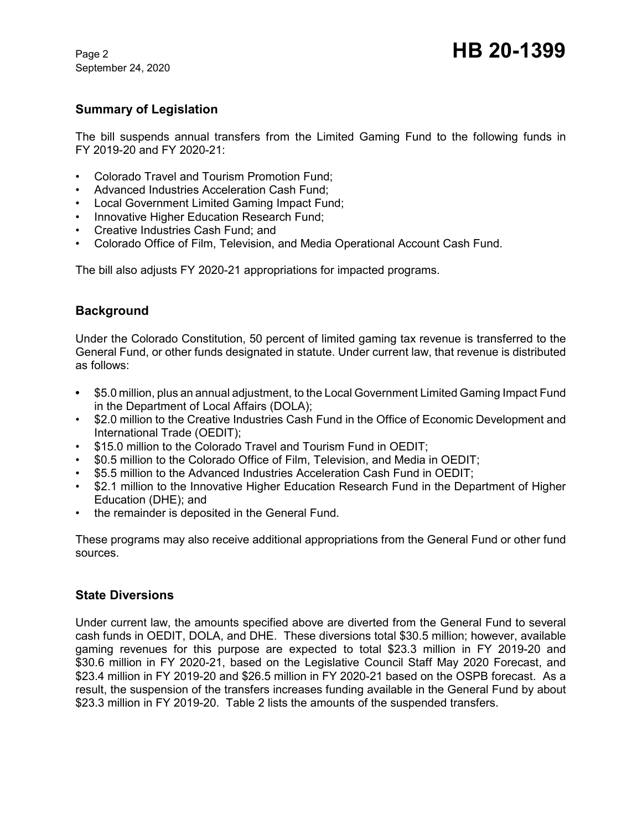September 24, 2020

## **Summary of Legislation**

The bill suspends annual transfers from the Limited Gaming Fund to the following funds in FY 2019-20 and FY 2020-21:

- Colorado Travel and Tourism Promotion Fund;
- Advanced Industries Acceleration Cash Fund;
- Local Government Limited Gaming Impact Fund;
- Innovative Higher Education Research Fund;
- Creative Industries Cash Fund; and
- Colorado Office of Film, Television, and Media Operational Account Cash Fund.

The bill also adjusts FY 2020-21 appropriations for impacted programs.

## **Background**

Under the Colorado Constitution, 50 percent of limited gaming tax revenue is transferred to the General Fund, or other funds designated in statute. Under current law, that revenue is distributed as follows:

- **•** \$5.0 million, plus an annual adjustment, to the Local Government Limited Gaming Impact Fund in the Department of Local Affairs (DOLA);
- \$2.0 million to the Creative Industries Cash Fund in the Office of Economic Development and International Trade (OEDIT);
- \$15.0 million to the Colorado Travel and Tourism Fund in OEDIT;
- \$0.5 million to the Colorado Office of Film, Television, and Media in OEDIT;
- \$5.5 million to the Advanced Industries Acceleration Cash Fund in OEDIT;
- \$2.1 million to the Innovative Higher Education Research Fund in the Department of Higher Education (DHE); and
- the remainder is deposited in the General Fund.

These programs may also receive additional appropriations from the General Fund or other fund sources.

#### **State Diversions**

Under current law, the amounts specified above are diverted from the General Fund to several cash funds in OEDIT, DOLA, and DHE. These diversions total \$30.5 million; however, available gaming revenues for this purpose are expected to total \$23.3 million in FY 2019-20 and \$30.6 million in FY 2020-21, based on the Legislative Council Staff May 2020 Forecast, and \$23.4 million in FY 2019-20 and \$26.5 million in FY 2020-21 based on the OSPB forecast. As a result, the suspension of the transfers increases funding available in the General Fund by about \$23.3 million in FY 2019-20. Table 2 lists the amounts of the suspended transfers.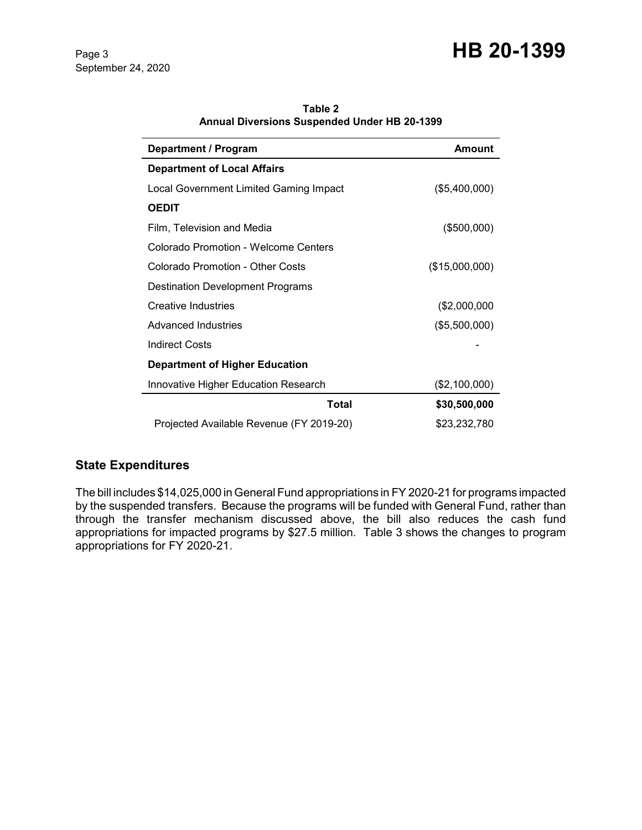# Page 3 **HB 20-1399**

September 24, 2020

| <b>Department / Program</b>                 | <b>Amount</b>  |  |
|---------------------------------------------|----------------|--|
| <b>Department of Local Affairs</b>          |                |  |
| Local Government Limited Gaming Impact      | (\$5,400,000)  |  |
| <b>OEDIT</b>                                |                |  |
| Film, Television and Media                  | $($ \$500,000) |  |
| Colorado Promotion - Welcome Centers        |                |  |
| Colorado Promotion - Other Costs            | (\$15,000,000) |  |
| <b>Destination Development Programs</b>     |                |  |
| <b>Creative Industries</b>                  | (\$2,000,000   |  |
| Advanced Industries                         | (\$5,500,000)  |  |
| <b>Indirect Costs</b>                       |                |  |
| <b>Department of Higher Education</b>       |                |  |
| <b>Innovative Higher Education Research</b> | (\$2,100,000)  |  |
| Total                                       | \$30,500,000   |  |
| Projected Available Revenue (FY 2019-20)    | \$23,232,780   |  |

**Table 2 Annual Diversions Suspended Under HB 20-1399**

## **State Expenditures**

The bill includes \$14,025,000 in General Fund appropriations in FY 2020-21 for programs impacted by the suspended transfers. Because the programs will be funded with General Fund, rather than through the transfer mechanism discussed above, the bill also reduces the cash fund appropriations for impacted programs by \$27.5 million. Table 3 shows the changes to program appropriations for FY 2020-21.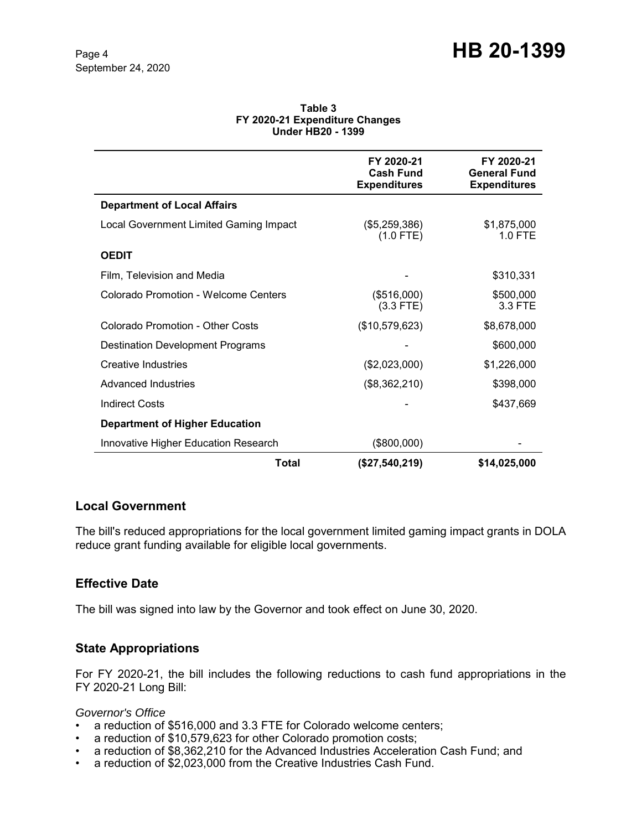#### **Table 3 FY 2020-21 Expenditure Changes Under HB20 - 1399**

|                                             | FY 2020-21<br><b>Cash Fund</b><br><b>Expenditures</b> | FY 2020-21<br><b>General Fund</b><br><b>Expenditures</b> |
|---------------------------------------------|-------------------------------------------------------|----------------------------------------------------------|
| <b>Department of Local Affairs</b>          |                                                       |                                                          |
| Local Government Limited Gaming Impact      | (\$5,259,386)<br>$(1.0$ FTE)                          | \$1,875,000<br>$1.0$ FTE                                 |
| <b>OEDIT</b>                                |                                                       |                                                          |
| Film, Television and Media                  |                                                       | \$310,331                                                |
| Colorado Promotion - Welcome Centers        | (\$516,000)<br>$(3.3$ FTE)                            | \$500,000<br>3.3 FTE                                     |
| Colorado Promotion - Other Costs            | (\$10,579,623)                                        | \$8,678,000                                              |
| <b>Destination Development Programs</b>     |                                                       | \$600,000                                                |
| <b>Creative Industries</b>                  | (\$2,023,000)                                         | \$1,226,000                                              |
| Advanced Industries                         | (\$8,362,210)                                         | \$398,000                                                |
| <b>Indirect Costs</b>                       |                                                       | \$437,669                                                |
| <b>Department of Higher Education</b>       |                                                       |                                                          |
| <b>Innovative Higher Education Research</b> | (\$800,000)                                           |                                                          |
| Total                                       | (\$27,540,219)                                        | \$14,025,000                                             |

## **Local Government**

The bill's reduced appropriations for the local government limited gaming impact grants in DOLA reduce grant funding available for eligible local governments.

## **Effective Date**

The bill was signed into law by the Governor and took effect on June 30, 2020.

## **State Appropriations**

For FY 2020-21, the bill includes the following reductions to cash fund appropriations in the FY 2020-21 Long Bill:

#### *Governor's Office*

- a reduction of \$516,000 and 3.3 FTE for Colorado welcome centers;
- a reduction of \$10,579,623 for other Colorado promotion costs;
- a reduction of \$8,362,210 for the Advanced Industries Acceleration Cash Fund; and
- a reduction of \$2,023,000 from the Creative Industries Cash Fund.